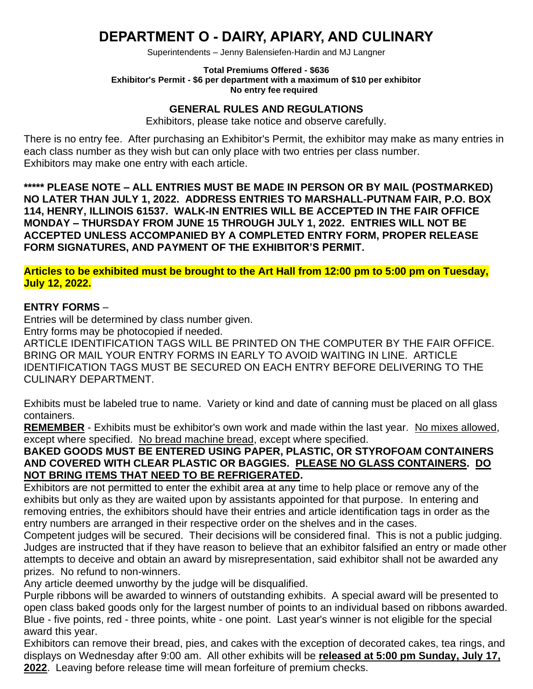## **DEPARTMENT O - DAIRY, APIARY, AND CULINARY**

Superintendents – Jenny Balensiefen-Hardin and MJ Langner

#### **Total Premiums Offered - \$636 Exhibitor's Permit - \$6 per department with a maximum of \$10 per exhibitor No entry fee required**

#### **GENERAL RULES AND REGULATIONS**

Exhibitors, please take notice and observe carefully.

There is no entry fee. After purchasing an Exhibitor's Permit, the exhibitor may make as many entries in each class number as they wish but can only place with two entries per class number. Exhibitors may make one entry with each article.

**\*\*\*\*\* PLEASE NOTE – ALL ENTRIES MUST BE MADE IN PERSON OR BY MAIL (POSTMARKED) NO LATER THAN JULY 1, 2022. ADDRESS ENTRIES TO MARSHALL-PUTNAM FAIR, P.O. BOX 114, HENRY, ILLINOIS 61537. WALK-IN ENTRIES WILL BE ACCEPTED IN THE FAIR OFFICE MONDAY – THURSDAY FROM JUNE 15 THROUGH JULY 1, 2022. ENTRIES WILL NOT BE ACCEPTED UNLESS ACCOMPANIED BY A COMPLETED ENTRY FORM, PROPER RELEASE FORM SIGNATURES, AND PAYMENT OF THE EXHIBITOR'S PERMIT.**

**Articles to be exhibited must be brought to the Art Hall from 12:00 pm to 5:00 pm on Tuesday, July 12, 2022.**

#### **ENTRY FORMS** –

Entries will be determined by class number given.

Entry forms may be photocopied if needed.

ARTICLE IDENTIFICATION TAGS WILL BE PRINTED ON THE COMPUTER BY THE FAIR OFFICE. BRING OR MAIL YOUR ENTRY FORMS IN EARLY TO AVOID WAITING IN LINE. ARTICLE IDENTIFICATION TAGS MUST BE SECURED ON EACH ENTRY BEFORE DELIVERING TO THE CULINARY DEPARTMENT.

Exhibits must be labeled true to name. Variety or kind and date of canning must be placed on all glass containers.

**REMEMBER** - Exhibits must be exhibitor's own work and made within the last year. No mixes allowed, except where specified. No bread machine bread, except where specified.

#### **BAKED GOODS MUST BE ENTERED USING PAPER, PLASTIC, OR STYROFOAM CONTAINERS AND COVERED WITH CLEAR PLASTIC OR BAGGIES. PLEASE NO GLASS CONTAINERS. DO NOT BRING ITEMS THAT NEED TO BE REFRIGERATED.**

Exhibitors are not permitted to enter the exhibit area at any time to help place or remove any of the exhibits but only as they are waited upon by assistants appointed for that purpose. In entering and removing entries, the exhibitors should have their entries and article identification tags in order as the entry numbers are arranged in their respective order on the shelves and in the cases.

Competent judges will be secured. Their decisions will be considered final. This is not a public judging. Judges are instructed that if they have reason to believe that an exhibitor falsified an entry or made other attempts to deceive and obtain an award by misrepresentation, said exhibitor shall not be awarded any prizes. No refund to non-winners.

Any article deemed unworthy by the judge will be disqualified.

Purple ribbons will be awarded to winners of outstanding exhibits. A special award will be presented to open class baked goods only for the largest number of points to an individual based on ribbons awarded. Blue - five points, red - three points, white - one point. Last year's winner is not eligible for the special award this year.

Exhibitors can remove their bread, pies, and cakes with the exception of decorated cakes, tea rings, and displays on Wednesday after 9:00 am. All other exhibits will be **released at 5:00 pm Sunday, July 17, 2022**. Leaving before release time will mean forfeiture of premium checks.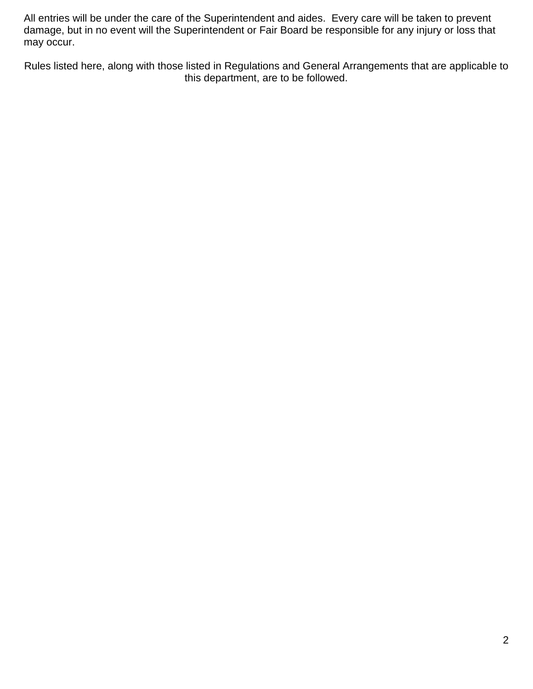All entries will be under the care of the Superintendent and aides. Every care will be taken to prevent damage, but in no event will the Superintendent or Fair Board be responsible for any injury or loss that may occur.

Rules listed here, along with those listed in Regulations and General Arrangements that are applicable to this department, are to be followed.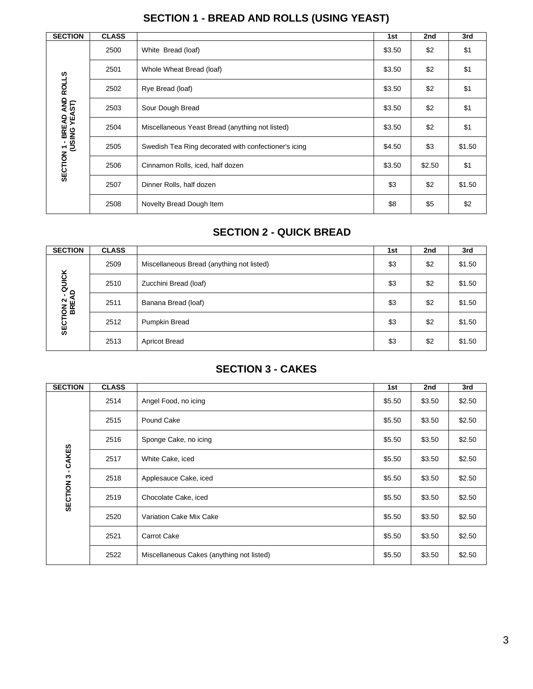| <b>SECTION</b>                     | <b>CLASS</b> |                                                      | 1st    | 2nd    | 3rd    |
|------------------------------------|--------------|------------------------------------------------------|--------|--------|--------|
|                                    | 2500         | White Bread (loaf)                                   | \$3.50 | \$2    | \$1    |
|                                    | 2501         | Whole Wheat Bread (loaf)                             | \$3.50 | \$2    | \$1    |
| <b>ROLLS</b>                       | 2502         | Rye Bread (loaf)                                     | \$3.50 | \$2    | \$1    |
| <b>BREAD AND I<br/>SING YEAST)</b> | 2503         | Sour Dough Bread                                     | \$3.50 | \$2    | \$1    |
|                                    | 2504         | Miscellaneous Yeast Bread (anything not listed)      | \$3.50 | \$2    | \$1    |
| I 1 - BRE<br>(USING                | 2505         | Swedish Tea Ring decorated with confectioner's icing | \$4.50 | \$3    | \$1.50 |
| SECTION <sub>1</sub>               | 2506         | Cinnamon Rolls, iced, half dozen                     | \$3.50 | \$2.50 | \$1    |
|                                    | 2507         | Dinner Rolls, half dozen                             | \$3    | \$2    | \$1.50 |
|                                    | 2508         | Novelty Bread Dough Item                             | \$8    | \$5    | \$2    |

### **SECTION 1 - BREAD AND ROLLS (USING YEAST)**

### **SECTION 2 - QUICK BREAD**

| <b>SECTION</b>                 | <b>CLASS</b> |                                           | 1st | 2nd | 3rd    |
|--------------------------------|--------------|-------------------------------------------|-----|-----|--------|
| <b>ION 2 - QUICK<br/>BREAD</b> | 2509         | Miscellaneous Bread (anything not listed) | \$3 | \$2 | \$1.50 |
|                                | 2510         | Zucchini Bread (loaf)                     | \$3 | \$2 | \$1.50 |
|                                | 2511         | Banana Bread (loaf)                       | \$3 | \$2 | \$1.50 |
| <b>SECT</b>                    | 2512         | Pumpkin Bread                             | \$3 | \$2 | \$1.50 |
|                                | 2513         | <b>Apricot Bread</b>                      | \$3 | \$2 | \$1.50 |

#### **SECTION 3 - CAKES**

| <b>SECTION</b>       | <b>CLASS</b> |                                           | 1st    | 2nd    | 3rd    |
|----------------------|--------------|-------------------------------------------|--------|--------|--------|
|                      | 2514         | Angel Food, no icing                      | \$5.50 | \$3.50 | \$2.50 |
|                      | 2515         | Pound Cake                                | \$5.50 | \$3.50 | \$2.50 |
|                      | 2516         | Sponge Cake, no icing                     | \$5.50 | \$3.50 | \$2.50 |
| - CAKES              | 2517         | White Cake, iced                          | \$5.50 | \$3.50 | \$2.50 |
|                      | 2518         | Applesauce Cake, iced                     | \$5.50 | \$3.50 | \$2.50 |
| SECTION <sub>3</sub> | 2519         | Chocolate Cake, iced                      | \$5.50 | \$3.50 | \$2.50 |
|                      | 2520         | Variation Cake Mix Cake                   | \$5.50 | \$3.50 | \$2.50 |
|                      | 2521         | Carrot Cake                               | \$5.50 | \$3.50 | \$2.50 |
|                      | 2522         | Miscellaneous Cakes (anything not listed) | \$5.50 | \$3.50 | \$2.50 |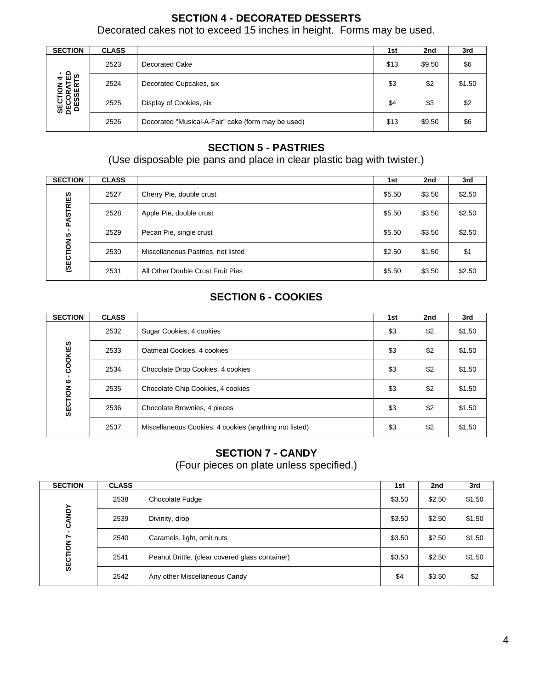### **SECTION 4 - DECORATED DESSERTS**

Decorated cakes not to exceed 15 inches in height. Forms may be used.

| <b>SECTION</b>                                | <b>CLASS</b> |                                                    | 1st  | 2nd    | 3rd    |
|-----------------------------------------------|--------------|----------------------------------------------------|------|--------|--------|
| <b>SECTION 4 -<br/>DECORATED<br/>DESSERTS</b> | 2523         | <b>Decorated Cake</b>                              | \$13 | \$9.50 | \$6    |
|                                               | 2524         | Decorated Cupcakes, six                            | \$3  | \$2    | \$1.50 |
|                                               | 2525         | Display of Cookies, six                            | \$4  | \$3    | \$2    |
|                                               | 2526         | Decorated "Musical-A-Fair" cake (form may be used) | \$13 | \$9.50 | \$6    |

### **SECTION 5 - PASTRIES**

(Use disposable pie pans and place in clear plastic bag with twister.)

| <b>SECTION</b>  | <b>CLASS</b> |                                    | 1st    | 2nd    | 3rd    |
|-----------------|--------------|------------------------------------|--------|--------|--------|
| <b>PASTRIES</b> | 2527         | Cherry Pie, double crust           | \$5.50 | \$3.50 | \$2.50 |
|                 | 2528         | Apple Pie, double crust            | \$5.50 | \$3.50 | \$2.50 |
| п.<br>5         | 2529         | Pecan Pie, single crust            | \$5.50 | \$3.50 | \$2.50 |
| (SECTION        | 2530         | Miscellaneous Pastries, not listed | \$2.50 | \$1.50 | \$1    |
|                 | 2531         | All Other Double Crust Fruit Pies  | \$5.50 | \$3.50 | \$2.50 |

### **SECTION 6 - COOKIES**

| <b>SECTION</b> | <b>CLASS</b> |                                                        | 1st | 2nd | 3rd    |
|----------------|--------------|--------------------------------------------------------|-----|-----|--------|
| COOKIES        | 2532         | Sugar Cookies, 4 cookies                               | \$3 | \$2 | \$1.50 |
|                | 2533         | Oatmeal Cookies, 4 cookies                             | \$3 | \$2 | \$1.50 |
|                | 2534         | Chocolate Drop Cookies, 4 cookies                      | \$3 | \$2 | \$1.50 |
| ဖ              | 2535         | Chocolate Chip Cookies, 4 cookies                      | \$3 | \$2 | \$1.50 |
| SECTION        | 2536         | Chocolate Brownies, 4 pieces                           | \$3 | \$2 | \$1.50 |
|                | 2537         | Miscellaneous Cookies, 4 cookies (anything not listed) | \$3 | \$2 | \$1.50 |

### **SECTION 7 - CANDY**

(Four pieces on plate unless specified.)

| <b>SECTION</b> | <b>CLASS</b> |                                                 | 1st    | 2nd    | 3rd    |
|----------------|--------------|-------------------------------------------------|--------|--------|--------|
| CANDY          | 2538         | Chocolate Fudge                                 | \$3.50 | \$2.50 | \$1.50 |
|                | 2539         | Divinity, drop                                  | \$3.50 | \$2.50 | \$1.50 |
| $\overline{ }$ | 2540         | Caramels, light, omit nuts                      | \$3.50 | \$2.50 | \$1.50 |
| <b>SECTION</b> | 2541         | Peanut Brittle, (clear covered glass container) | \$3.50 | \$2.50 | \$1.50 |
|                | 2542         | Any other Miscellaneous Candy                   | \$4    | \$3.50 | \$2    |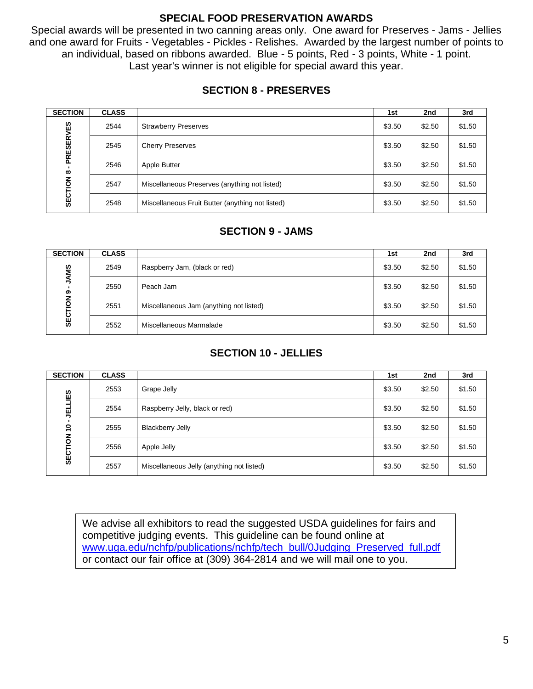#### **SPECIAL FOOD PRESERVATION AWARDS**

Special awards will be presented in two canning areas only. One award for Preserves - Jams - Jellies and one award for Fruits - Vegetables - Pickles - Relishes. Awarded by the largest number of points to an individual, based on ribbons awarded. Blue - 5 points, Red - 3 points, White - 1 point. Last year's winner is not eligible for special award this year.

#### **SECTION 8 - PRESERVES**

| <b>SECTION</b>                                          | <b>CLASS</b> |                                                  | 1st    | 2nd    | 3rd    |
|---------------------------------------------------------|--------------|--------------------------------------------------|--------|--------|--------|
| <b>PRESERVES</b><br>$\infty$<br>$\overline{6}$<br>SECTI | 2544         | <b>Strawberry Preserves</b>                      | \$3.50 | \$2.50 | \$1.50 |
|                                                         | 2545         | <b>Cherry Preserves</b>                          | \$3.50 | \$2.50 | \$1.50 |
|                                                         | 2546         | Apple Butter                                     | \$3.50 | \$2.50 | \$1.50 |
|                                                         | 2547         | Miscellaneous Preserves (anything not listed)    | \$3.50 | \$2.50 | \$1.50 |
|                                                         | 2548         | Miscellaneous Fruit Butter (anything not listed) | \$3.50 | \$2.50 | \$1.50 |

#### **SECTION 9 - JAMS**

| <b>SECTION</b>                             | <b>CLASS</b> |                                         | 1st    | 2nd    | 3rd    |
|--------------------------------------------|--------------|-----------------------------------------|--------|--------|--------|
| <b>JAMS</b><br>ග<br>$\frac{z}{2}$<br>SECTI | 2549         | Raspberry Jam, (black or red)           | \$3.50 | \$2.50 | \$1.50 |
|                                            | 2550         | Peach Jam                               | \$3.50 | \$2.50 | \$1.50 |
|                                            | 2551         | Miscellaneous Jam (anything not listed) | \$3.50 | \$2.50 | \$1.50 |
|                                            | 2552         | Miscellaneous Marmalade                 | \$3.50 | \$2.50 | \$1.50 |

#### **SECTION 10 - JELLIES**

| <b>SECTION</b>                    | <b>CLASS</b> |                                           | 1st    | 2nd    | 3rd    |
|-----------------------------------|--------------|-------------------------------------------|--------|--------|--------|
| ĒS<br><b>TELL</b><br>ő<br>SECTION | 2553         | Grape Jelly                               | \$3.50 | \$2.50 | \$1.50 |
|                                   | 2554         | Raspberry Jelly, black or red)            | \$3.50 | \$2.50 | \$1.50 |
|                                   | 2555         | <b>Blackberry Jelly</b>                   | \$3.50 | \$2.50 | \$1.50 |
|                                   | 2556         | Apple Jelly                               | \$3.50 | \$2.50 | \$1.50 |
|                                   | 2557         | Miscellaneous Jelly (anything not listed) | \$3.50 | \$2.50 | \$1.50 |

We advise all exhibitors to read the suggested USDA guidelines for fairs and competitive judging events. This guideline can be found online at [www.uga.edu/nchfp/publications/nchfp/tech\\_bull/0Judging\\_Preserved\\_full.pdf](http://www.uga.edu/nchfp/publications/nchfp/tech_bull/0Judging_Preserved_full.pdf) or contact our fair office at (309) 364-2814 and we will mail one to you.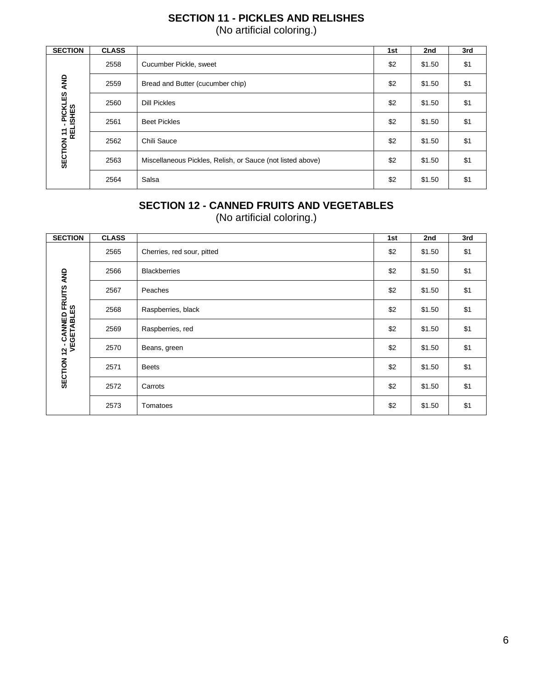### **SECTION 11 - PICKLES AND RELISHES** (No artificial coloring.)

| <b>SECTION</b>                        | <b>CLASS</b> |                                                            | 1st | 2nd    | 3rd |
|---------------------------------------|--------------|------------------------------------------------------------|-----|--------|-----|
|                                       | 2558         | Cucumber Pickle, sweet                                     | \$2 | \$1.50 | \$1 |
|                                       | 2559         | Bread and Butter (cucumber chip)                           | \$2 | \$1.50 | \$1 |
| PICKLES AND                           | 2560         | <b>Dill Pickles</b>                                        | \$2 | \$1.50 | \$1 |
|                                       | 2561         | <b>Beet Pickles</b>                                        | \$2 | \$1.50 | \$1 |
|                                       | 2562         | Chili Sauce                                                | \$2 | \$1.50 | \$1 |
| <b>SECTION 11 - PICKI</b><br>RELISHES | 2563         | Miscellaneous Pickles, Relish, or Sauce (not listed above) | \$2 | \$1.50 | \$1 |
|                                       | 2564         | Salsa                                                      | \$2 | \$1.50 | \$1 |

### **SECTION 12 - CANNED FRUITS AND VEGETABLES**

(No artificial coloring.)

| <b>SECTION</b>                                      | <b>CLASS</b> |                            | 1st | 2nd    | 3rd |
|-----------------------------------------------------|--------------|----------------------------|-----|--------|-----|
|                                                     | 2565         | Cherries, red sour, pitted | \$2 | \$1.50 | \$1 |
|                                                     | 2566         | <b>Blackberries</b>        | \$2 | \$1.50 | \$1 |
| <b>SECTION 12 - CANNED FRUITS AND</b><br>VEGETABLES | 2567         | Peaches                    | \$2 | \$1.50 | \$1 |
|                                                     | 2568         | Raspberries, black         | \$2 | \$1.50 | \$1 |
|                                                     | 2569         | Raspberries, red           | \$2 | \$1.50 | \$1 |
|                                                     | 2570         | Beans, green               | \$2 | \$1.50 | \$1 |
|                                                     | 2571         | <b>Beets</b>               | \$2 | \$1.50 | \$1 |
|                                                     | 2572         | Carrots                    | \$2 | \$1.50 | \$1 |
|                                                     | 2573         | Tomatoes                   | \$2 | \$1.50 | \$1 |